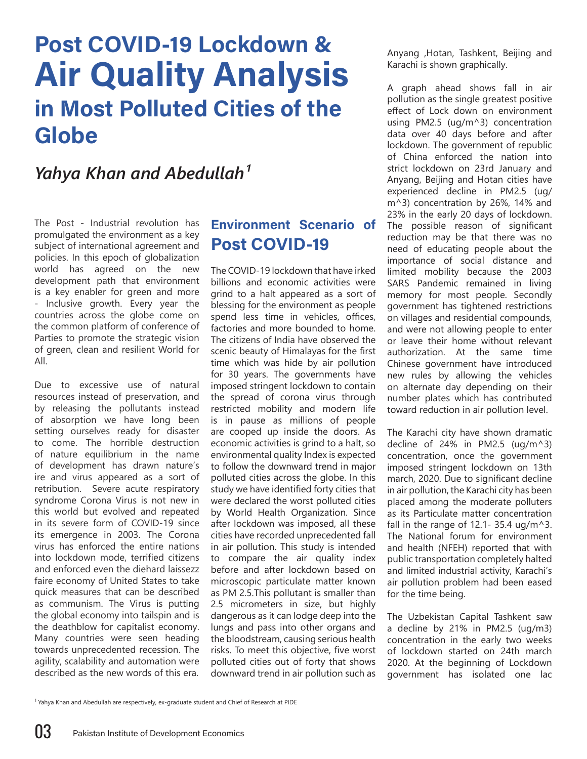## **Post COVID-19 Lockdown & Air Quality Analysis in Most Polluted Cities of the Globe**

## *Yahya Khan and Abedullah*<sup>1</sup>

The Post - Industrial revolution has promulgated the environment as a key subject of international agreement and policies. In this epoch of globalization world has agreed on the new development path that environment is a key enabler for green and more - Inclusive growth. Every year the countries across the globe come on the common platform of conference of Parties to promote the strategic vision of green, clean and resilient World for All.

Due to excessive use of natural resources instead of preservation, and by releasing the pollutants instead of absorption we have long been setting ourselves ready for disaster to come. The horrible destruction of nature equilibrium in the name of development has drawn nature's ire and virus appeared as a sort of retribution. Severe acute respiratory syndrome Corona Virus is not new in this world but evolved and repeated in its severe form of COVID-19 since its emergence in 2003. The Corona virus has enforced the entire nations into lockdown mode, terrified citizens and enforced even the diehard laissezz faire economy of United States to take quick measures that can be described as communism. The Virus is putting the global economy into tailspin and is the deathblow for capitalist economy. Many countries were seen heading towards unprecedented recession. The agility, scalability and automation were described as the new words of this era.

## **Environment Scenario of Post COVID-19**

The COVID-19 lockdown that have irked billions and economic activities were grind to a halt appeared as a sort of blessing for the environment as people spend less time in vehicles, offices, factories and more bounded to home. The citizens of India have observed the scenic beauty of Himalayas for the first time which was hide by air pollution for 30 years. The governments have imposed stringent lockdown to contain the spread of corona virus through restricted mobility and modern life is in pause as millions of people are cooped up inside the doors. As economic activities is grind to a halt, so environmental quality Index is expected to follow the downward trend in major polluted cities across the globe. In this study we have identified forty cities that were declared the worst polluted cities by World Health Organization. Since after lockdown was imposed, all these cities have recorded unprecedented fall in air pollution. This study is intended to compare the air quality index before and after lockdown based on microscopic particulate matter known as PM 2.5.This pollutant is smaller than 2.5 micrometers in size, but highly dangerous as it can lodge deep into the lungs and pass into other organs and the bloodstream, causing serious health risks. To meet this objective, five worst polluted cities out of forty that shows downward trend in air pollution such as Anyang ,Hotan, Tashkent, Beijing and Karachi is shown graphically.

A graph ahead shows fall in air pollution as the single greatest positive effect of Lock down on environment using PM2.5 (ug/m^3) concentration data over 40 days before and after lockdown. The government of republic of China enforced the nation into strict lockdown on 23rd January and Anyang, Beijing and Hotan cities have experienced decline in PM2.5 (ug/ m^3) concentration by 26%, 14% and 23% in the early 20 days of lockdown. The possible reason of significant reduction may be that there was no need of educating people about the importance of social distance and limited mobility because the 2003 SARS Pandemic remained in living memory for most people. Secondly government has tightened restrictions on villages and residential compounds, and were not allowing people to enter or leave their home without relevant authorization. At the same time Chinese government have introduced new rules by allowing the vehicles on alternate day depending on their number plates which has contributed toward reduction in air pollution level.

The Karachi city have shown dramatic decline of 24% in PM2.5 (ug/m^3) concentration, once the government imposed stringent lockdown on 13th march, 2020. Due to significant decline in air pollution, the Karachi city has been placed among the moderate polluters as its Particulate matter concentration fall in the range of 12.1- 35.4 ug/m^3. The National forum for environment and health (NFEH) reported that with public transportation completely halted and limited industrial activity, Karachi's air pollution problem had been eased for the time being.

The Uzbekistan Capital Tashkent saw a decline by 21% in PM2.5 (ug/m3) concentration in the early two weeks of lockdown started on 24th march 2020. At the beginning of Lockdown government has isolated one lac

<sup>1</sup> Yahya Khan and Abedullah are respectively, ex-graduate student and Chief of Research at PIDE